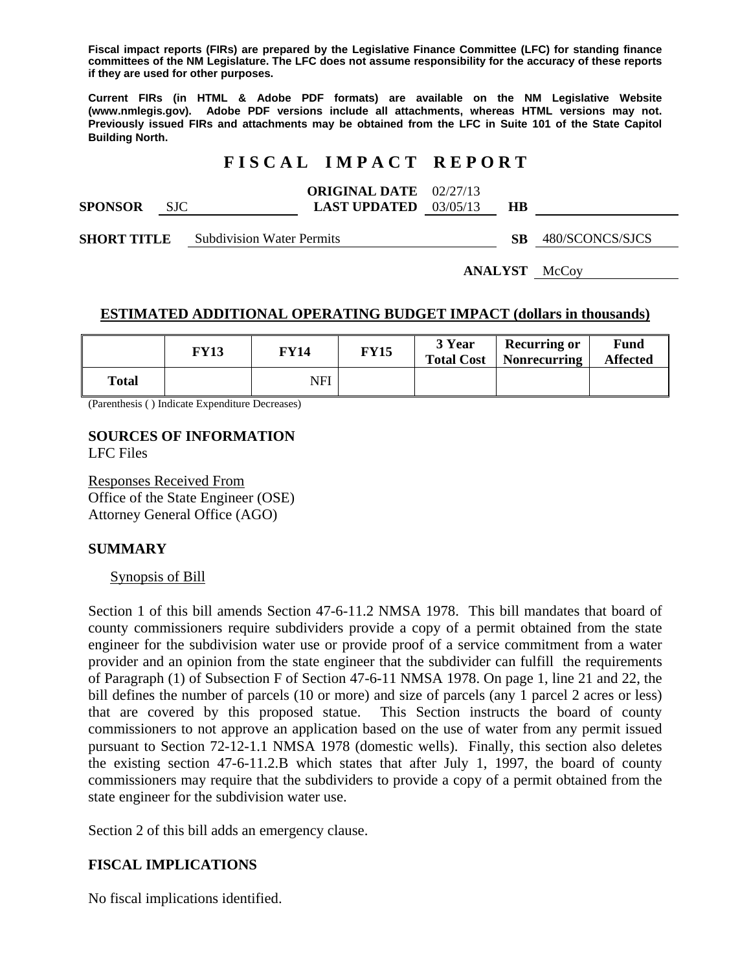**Fiscal impact reports (FIRs) are prepared by the Legislative Finance Committee (LFC) for standing finance committees of the NM Legislature. The LFC does not assume responsibility for the accuracy of these reports if they are used for other purposes.** 

**Current FIRs (in HTML & Adobe PDF formats) are available on the NM Legislative Website (www.nmlegis.gov). Adobe PDF versions include all attachments, whereas HTML versions may not. Previously issued FIRs and attachments may be obtained from the LFC in Suite 101 of the State Capitol Building North.**

## **F I S C A L I M P A C T R E P O R T**

|                | <b>ORIGINAL DATE</b> 02/27/13  |  |  |
|----------------|--------------------------------|--|--|
| <b>SPONSOR</b> | <b>LAST UPDATED</b> $03/05/13$ |  |  |

**SHORT TITLE** Subdivision Water Permits **SB** 480/SCONCS/SJCS

**ANALYST** McCoy

### **ESTIMATED ADDITIONAL OPERATING BUDGET IMPACT (dollars in thousands)**

|              | FY 13 | FY14 | <b>FY15</b> | 3 Year<br><b>Total Cost</b> | <b>Recurring or</b><br>  Nonrecurring | Fund<br><b>Affected</b> |
|--------------|-------|------|-------------|-----------------------------|---------------------------------------|-------------------------|
| <b>Total</b> |       | NFI  |             |                             |                                       |                         |

(Parenthesis ( ) Indicate Expenditure Decreases)

# **SOURCES OF INFORMATION**

LFC Files

Responses Received From Office of the State Engineer (OSE) Attorney General Office (AGO)

#### **SUMMARY**

#### Synopsis of Bill

Section 1 of this bill amends Section 47-6-11.2 NMSA 1978. This bill mandates that board of county commissioners require subdividers provide a copy of a permit obtained from the state engineer for the subdivision water use or provide proof of a service commitment from a water provider and an opinion from the state engineer that the subdivider can fulfill the requirements of Paragraph (1) of Subsection F of Section 47-6-11 NMSA 1978. On page 1, line 21 and 22, the bill defines the number of parcels (10 or more) and size of parcels (any 1 parcel 2 acres or less) that are covered by this proposed statue. This Section instructs the board of county commissioners to not approve an application based on the use of water from any permit issued pursuant to Section 72-12-1.1 NMSA 1978 (domestic wells). Finally, this section also deletes the existing section 47-6-11.2.B which states that after July 1, 1997, the board of county commissioners may require that the subdividers to provide a copy of a permit obtained from the state engineer for the subdivision water use.

Section 2 of this bill adds an emergency clause.

## **FISCAL IMPLICATIONS**

No fiscal implications identified.